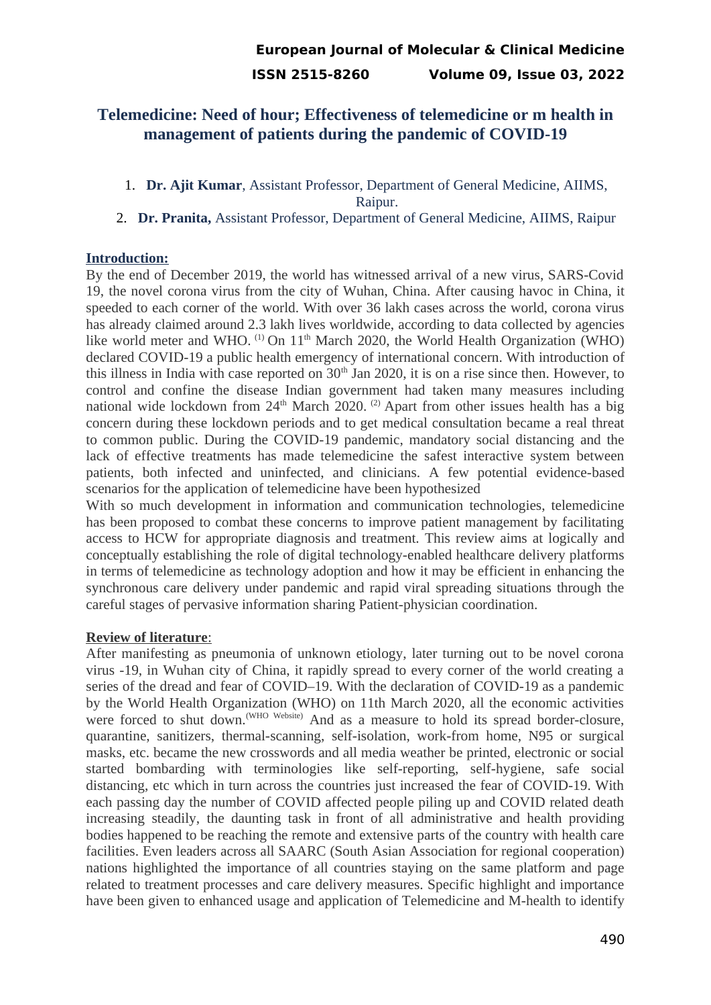# **Telemedicine: Need of hour; Effectiveness of telemedicine or m health in management of patients during the pandemic of COVID-19**

1. **Dr. Ajit Kumar**, Assistant Professor, Department of General Medicine, AIIMS,

Raipur.

2. **Dr. Pranita,** Assistant Professor, Department of General Medicine, AIIMS, Raipur

### **Introduction:**

By the end of December 2019, the world has witnessed arrival of a new virus, SARS-Covid 19, the novel corona virus from the city of Wuhan, China. After causing havoc in China, it speeded to each corner of the world. With over 36 lakh cases across the world, corona virus has already claimed around 2.3 lakh lives worldwide, according to data collected by agencies like world meter and WHO.  $^{(1)}$  On  $11<sup>th</sup>$  March 2020, the World Health Organization (WHO) declared COVID-19 a public health emergency of international concern. With introduction of this illness in India with case reported on  $30<sup>th</sup>$  Jan 2020, it is on a rise since then. However, to control and confine the disease Indian government had taken many measures including national wide lockdown from 24<sup>th</sup> March 2020. <sup>(2)</sup> Apart from other issues health has a big concern during these lockdown periods and to get medical consultation became a real threat to common public. During the COVID-19 pandemic, mandatory social distancing and the lack of effective treatments has made telemedicine the safest interactive system between patients, both infected and uninfected, and clinicians. A few potential evidence-based scenarios for the application of telemedicine have been hypothesized

With so much development in information and communication technologies, telemedicine has been proposed to combat these concerns to improve patient management by facilitating access to HCW for appropriate diagnosis and treatment. This review aims at logically and conceptually establishing the role of digital technology-enabled healthcare delivery platforms in terms of telemedicine as technology adoption and how it may be efficient in enhancing the synchronous care delivery under pandemic and rapid viral spreading situations through the careful stages of pervasive information sharing Patient-physician coordination.

## **Review of literature** :

After manifesting as pneumonia of unknown etiology, later turning out to be novel corona virus -19, in Wuhan city of China, it rapidly spread to every corner of the world creating a series of the dread and fear of COVID–19. With the declaration of COVID-19 as a pandemic by the World Health Organization (WHO) on 11th March 2020, all the economic activities were forced to shut down.<sup>(WHO Website)</sup> And as a measure to hold its spread border-closure, quarantine, sanitizers, thermal-scanning, self-isolation, work-from home, N95 or surgical masks, etc. became the new crosswords and all media weather be printed, electronic or social started bombarding with terminologies like self-reporting, self-hygiene, safe social distancing, etc which in turn across the countries just increased the fear of COVID-19. With each passing day the number of COVID affected people piling up and COVID related death increasing steadily, the daunting task in front of all administrative and health providing bodies happened to be reaching the remote and extensive parts of the country with health care facilities. Even leaders across all SAARC (South Asian Association for regional cooperation) nations highlighted the importance of all countries staying on the same platform and page related to treatment processes and care delivery measures. Specific highlight and importance have been given to enhanced usage and application of Telemedicine and M-health to identify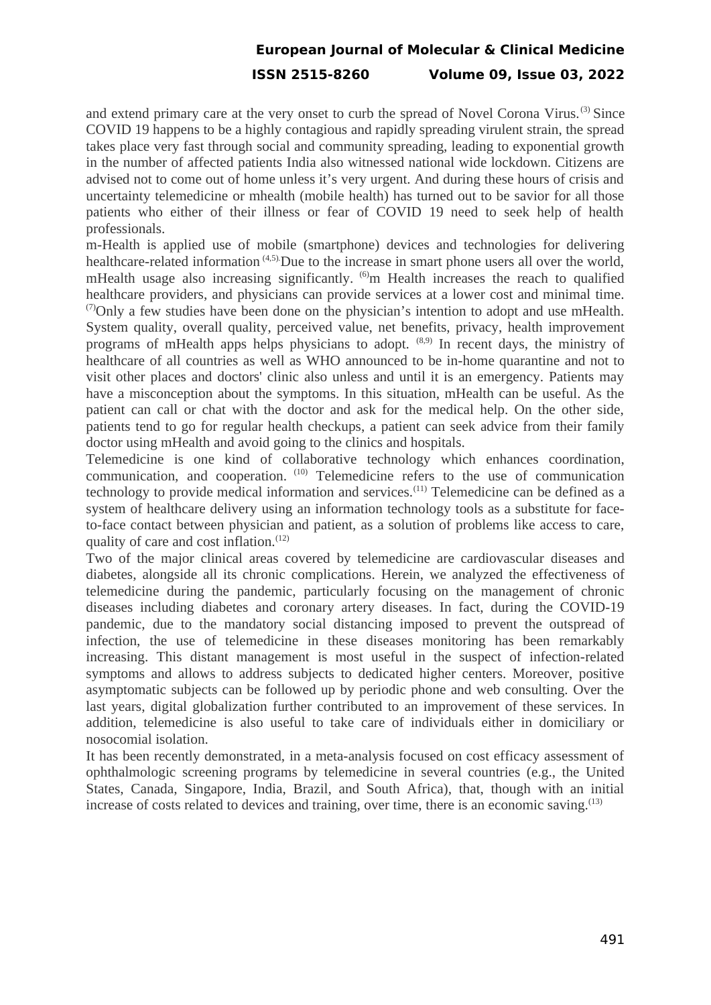# **European Journal of Molecular & Clinical Medicine ISSN 2515-8260 Volume 09, Issue 03, 2022**

and extend primary care at the very onset to curb the spread of Novel Corona Virus.<sup>(3)</sup> Since COVID 19 happens to be a highly contagious and rapidly spreading virulent strain, the spread takes place very fast through social and community spreading, leading to exponential growth in the number of affected patients India also witnessed national wide lockdown. Citizens are advised not to come out of home unless it's very urgent. And during these hours of crisis and uncertainty telemedicine or mhealth (mobile health) has turned out to be savior for all those patients who either of their illness or fear of COVID 19 need to seek help of health professionals.

m-Health is applied use of mobile (smartphone) devices and technologies for delivering healthcare-related information<sup>(4,5)</sup>.Due to the increase in smart phone users all over the world, mHealth usage also increasing significantly.  $^{(6)}$ m Health increases the reach to qualified healthcare providers, and physicians can provide services at a lower cost and minimal time.  $(7)$ Only a few studies have been done on the physician's intention to adopt and use mHealth. System quality, overall quality, perceived value, net benefits, privacy, health improvement programs of mHealth apps helps physicians to adopt.  $(8,9)$  In recent days, the ministry of healthcare of all countries as well as WHO announced to be in-home quarantine and not to visit other places and doctors' clinic also unless and until it is an emergency. Patients may have a misconception about the symptoms. In this situation, mHealth can be useful. As the patient can call or chat with the doctor and ask for the medical help. On the other side, patients tend to go for regular health checkups, a patient can seek advice from their family doctor using mHealth and avoid going to the clinics and hospitals.

Telemedicine is one kind of collaborative technology which enhances coordination, communication, and cooperation. (10) Telemedicine refers to the use of communication technology to provide medical information and services.<sup> $(11)$ </sup> Telemedicine can be defined as a system of healthcare delivery using an information technology tools as a substitute for faceto-face contact between physician and patient, as a solution of problems like access to care, quality of care and cost inflation.<sup>(12)</sup>

Two of the major clinical areas covered by telemedicine are cardiovascular diseases and diabetes, alongside all its chronic complications. Herein, we analyzed the effectiveness of telemedicine during the pandemic, particularly focusing on the management of chronic diseases including diabetes and coronary artery diseases. In fact, during the COVID-19 pandemic, due to the mandatory social distancing imposed to prevent the outspread of infection, the use of telemedicine in these diseases monitoring has been remarkably increasing. This distant management is most useful in the suspect of infection-related symptoms and allows to address subjects to dedicated higher centers. Moreover, positive asymptomatic subjects can be followed up by periodic phone and web consulting. Over the last years, digital globalization further contributed to an improvement of these services. In addition, telemedicine is also useful to take care of individuals either in domiciliary or nosocomial isolation.

It has been recently demonstrated, in a meta-analysis focused on cost efficacy assessment of ophthalmologic screening programs by telemedicine in several countries (e.g., the United States, Canada, Singapore, India, Brazil, and South Africa), that, though with an initial increase of costs related to devices and training, over time, there is an economic saving. $^{(13)}$